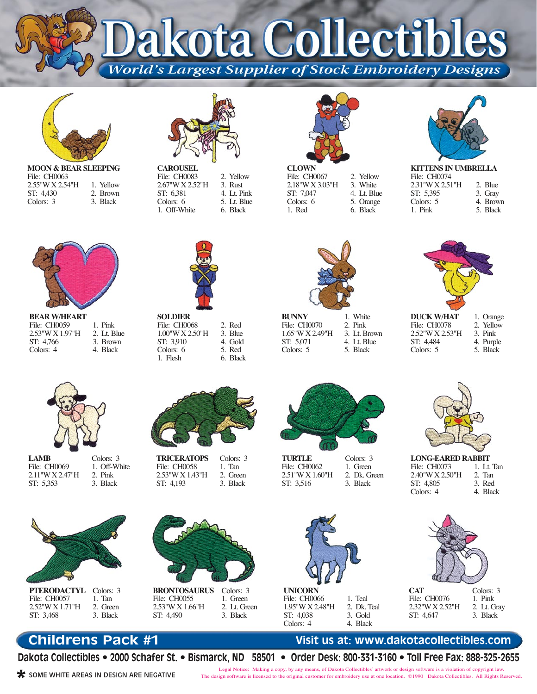kota Collectibl

**World's Largest Supplier of Stock Embroidery Designs** 



**MOON & BEAR SLEEPING** File: CH0063 2.55"W X 2.54"H ST: 4,430 Colors: 3 1. Yellow 2. Brown 3. Black



**CAROUSEL** File: CH0083 2.67"W X 2.52"H ST: 6,381 Colors: 6 1. Off-White 2. Yellow 3. Rust 4. Lt. Pink 5. Lt. Blue 6. Black



**CLOWN** File: CH0067 2.18"W X 3.03"H ST: 7,047 Colors: 6 1. Red 2. Yellow 3. White 4. Lt. Blue 5. Orange 6. Black



**KITTENS IN UMBRELLA** File: CH0074 2.31"W X 2.51"H ST: 5,395 Colors: 5 1. Pink 2. Blue 3. Gray 4. Brown 5. Black



**BEAR W/HEART** File: CH0059 2.53"W X 1.97"H ST: 4,766 Colors: 4 1. Pink

2. Lt. Blue 3. Brown 4. Black



**SOLDIER** File: CH0068 1.00"W X 2.50"H ST: 3,910 Colors: 6 1. Flesh 2. Red 3. Blue 4. Gold 5. Red 6. Black

**BUNNY** File: CH0070 1.65"W X 2.49"H ST: 5,071 Colors: 5 1. White 2. Pink 3. Lt. Brown 4. Lt. Blue 5. Black



**DUCK W/HAT** File: CH0078 2.52"W X 2.53"H ST: 4,484 Colors: 5

1. Orange 2. Yellow 3. Pink 4. Purple 5. Black



**LONG-EARED RABBIT** File: CH0073 2.40"W X 2.50"H ST: 4,805 Colors: 4 1. Lt. Tan 2. Tan 3. Red 4. Black



| <b>CAT</b>      |
|-----------------|
| File: CH0076    |
| 2.32"W X 2.52"H |
| ST: 4.647       |

Colors: 3 1. Pink 2. Lt. Gray 3. Black

## **Childrens Pack #1**

**Dakota Collectibles • 2000 Schafer St. • Bismarck, ND 58501 • Order Desk: 800-331-3160 • Toll Free Fax: 888-325-2655**

**\*** SOME WHITE AREAS IN DESIGN ARE NEGATIVE

Legal Notice: Making a copy, by any means, of Dakota Collectibles' artwork or design software is a violation of copyright law. The design software is licensed to the original customer for embroidery use at one location. ©1990 Dakota Collectibles. All Rights Reserved.

**LAMB** File: CH0069 2.11"W X 2.47"H ST: 5,353 Colors: 3 2. Pink 3. Black



**PTERODACTYL** File: CH0057 2.52"W X 1.71"H ST: 3,468 Colors: 3 1. Tan 2. Green 3. Black

1. Off-White



**TRICERATOPS** File: CH0058 2.53"W X 1.43"H ST: 4,193 Colors: 3 1. Tan 2. Green 3. Black



**BRONTOSAURUS** File: CH0055 2.53"W X 1.66"H ST: 4,490 Colors: 3 1. Green 2. Lt. Green 3. Black





File: CH0066 1.95"W X 2.48"H ST: 4,038 Colors: 4 1. Teal 2. Dk. Teal 3. Gold 4. Black



**Visit us at: www.dakotacollectibles.com**